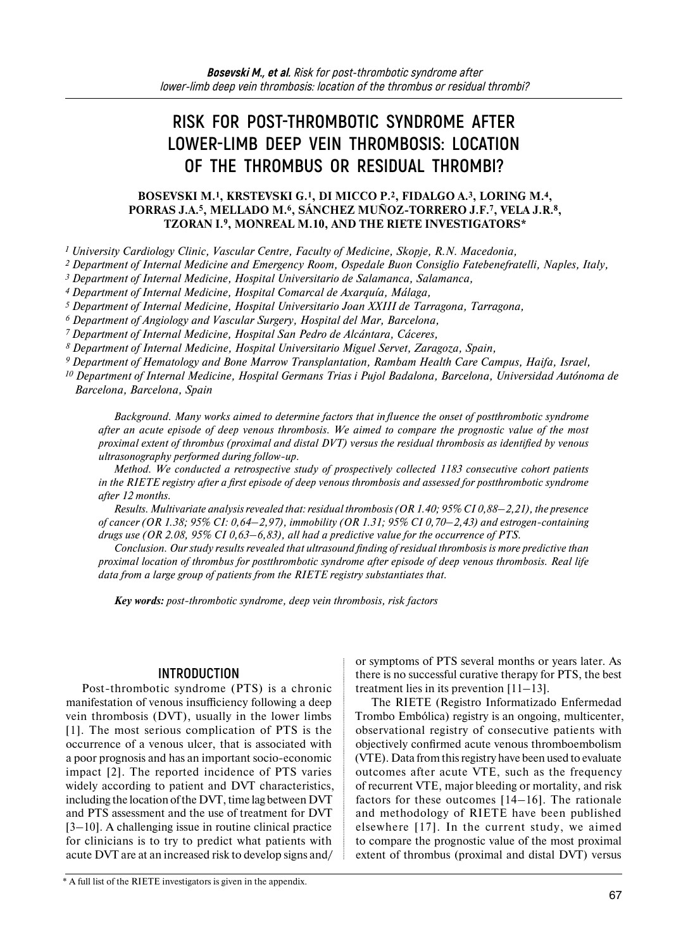# **RISK FOR POST-THROMBOTIC SYNDROME AFTER LOWER-LIMB DEEP VEIN THROMBOSIS: LOCATION OF THE THROMBUS OR RESIDUAL THROMBI?**

## **BOSEVSKI М.1, KRSTEVSKI G.1, DI MICCO P.2, FIDALGO A.3, LORING M.4, PORRAS J.A.5, MELLADO M.6, SÁNCHEZ MUÑOZ-TORRERO J.F.7, VELA J.R.8, TZORAN I.9, MONREAL M.10, AND THE RIETE INVESTIGATORS\***

*<sup>1</sup> University Cardiology Clinic, Vascular Centre, Faculty of Medicine, Skopje, R.N. Macedonia,* 

*2 Department of Internal Medicine and Emergency Room, Ospedale Buon Consiglio Fatebenefratelli, Naples, Italy,*

*3 Department of Internal Medicine, Hospital Universitario de Salamanca, Salamanca,* 

*4 Department of Internal Medicine, Hospital Comarcal de Axarquía, Málaga,* 

*5 Department of Internal Medicine, Hospital Universitario Joan XXIII de Tarragona, Tarragona,* 

*6 Department of Angiology and Vascular Surgery, Hospital del Mar, Barcelona,* 

*7 Department of Internal Medicine, Hospital San Pedro de Alcántara, Cáceres,* 

*8 Department of Internal Medicine, Hospital Universitario Miguel Servet, Zaragoza, Spain,* 

*9 Department of Hematology and Bone Marrow Transplantation, Rambam Health Care Campus, Haifa, Israel,* 

*<sup>10</sup> Department of Internal Medicine, Hospital Germans Trias i Pujol Badalona, Barcelona, Universidad Autónoma de Barcelona, Barcelona, Spain*

*Background. Many works aimed to determine factors that influence the onset of postthrombotic syndrome after an acute episode of deep venous thrombosis. We aimed to compare the prognostic value of the most proximal extent of thrombus (proximal and distal DVT) versus the residual thrombosis as identified by venous ultrasonography performed during follow-up.* 

*Method. We conducted a retrospective study of prospectively collected 1183 consecutive cohort patients in the RIETE registry after a first episode of deep venous thrombosis and assessed for postthrombotic syndrome after 12 months.*

*Results. Multivariate analysis revealed that: residual thrombosis (OR 1.40; 95% CI 0,88–2,21), the presence of cancer (OR 1.38; 95% CI: 0,64–2,97), immobility (OR 1.31; 95% CI 0,70–2,43) and estrogen-containing drugs use (OR 2.08, 95% CI 0,63–6,83), all had a predictive value for the occurrence of PTS.* 

*Conclusion. Our study results revealed that ultrasound finding of residual thrombosis is more predictive than proximal location of thrombus for postthrombotic syndrome after episode of deep venous thrombosis. Real life data from a large group of patients from the RIETE registry substantiates that.*

*Key words: post-thrombotic syndrome, deep vein thrombosis, risk factors*

# **INTRODUCTION**

Post-thrombotic syndrome (PTS) is a chronic manifestation of venous insufficiency following a deep vein thrombosis (DVT), usually in the lower limbs [1]. The most serious complication of PTS is the occurrence of a venous ulcer, that is associated with a poor prognosis and has an important socio-economic impact [2]. The reported incidence of PTS varies widely according to patient and DVT characteristics, including the location ofthe DVT, time lag between DVT and PTS assessment and the use of treatment for DVT [3–10]. A challenging issue in routine clinical practice for clinicians is to try to predict what patients with acute DVT are at an increased risk to develop signs and/ or symptoms of PTS several months or years later. As there is no successful curative therapy for PTS, the best treatment lies in its prevention [11–13].

The RIETE (Registro Informatizado Enfermedad Trombo Embólica) registry is an ongoing, multicenter, observational registry of consecutive patients with objectively confirmed acute venous thromboembolism (VTE). Data from this registry have been used to evaluate outcomes after acute VTE, such as the frequency of recurrent VTE, major bleeding or mortality, and risk factors for these outcomes [14–16]. The rationale and methodology of RIETE have been published elsewhere [17]. In the current study, we aimed to compare the prognostic value of the most proximal extent of thrombus (proximal and distal DVT) versus

\* A full list of the RIETE investigators is given in the appendix.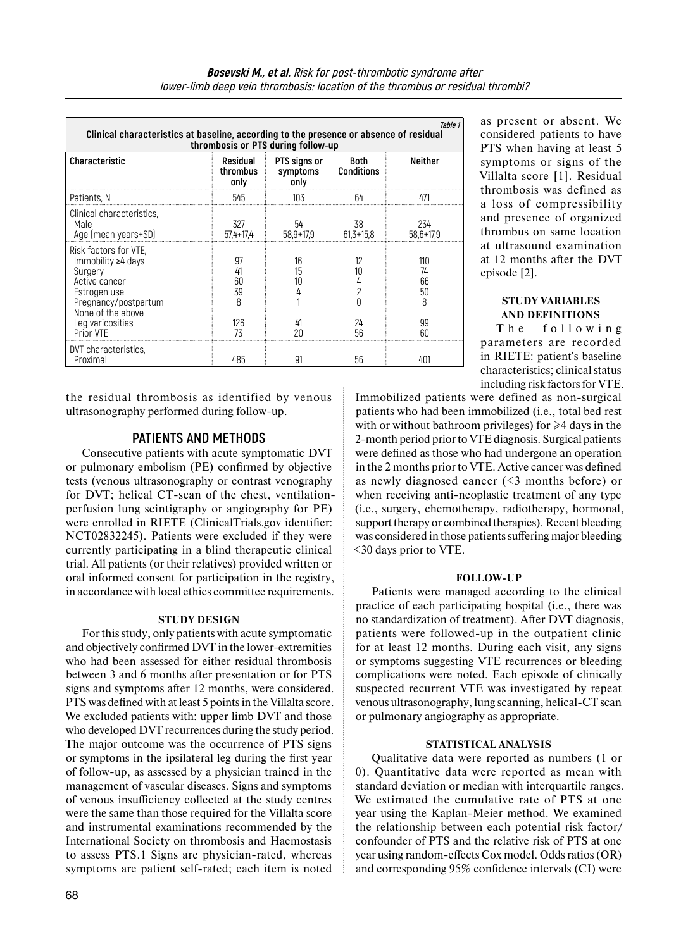| Table 1<br>Clinical characteristics at baseline, according to the presence or absence of residual<br>thrombosis or PTS during follow-up                        |                                  |                                             |                          |                                  |  |  |  |  |  |
|----------------------------------------------------------------------------------------------------------------------------------------------------------------|----------------------------------|---------------------------------------------|--------------------------|----------------------------------|--|--|--|--|--|
| Characteristic                                                                                                                                                 | Residual<br>thrombus<br>only     | PTS signs or<br>symptoms Conditions<br>only | Both                     | <b>Neither</b>                   |  |  |  |  |  |
| Patients, N                                                                                                                                                    | 545                              | 103                                         | 64                       |                                  |  |  |  |  |  |
| Clinical characteristics.<br>Male<br>Age (mean years±SD)                                                                                                       | 327<br>$57,4+17,4$               | 54<br>$58.9 \pm 17.9$                       | 38<br>$61,3 \pm 15,8$    | 234<br>58.6±17.9                 |  |  |  |  |  |
| Risk factors for VTE.<br>Immobility $\geq 4$ days<br>Surgery<br>Active cancer<br>Estrogen use<br>Pregnancy/postpartum<br>None of the above<br>Leg varicosities | 97<br>41<br>ñΠ<br>39<br>8<br>126 | 16<br>15<br>41                              | 12<br>10<br>4<br>2<br>24 | 110<br>74<br>66<br>50<br>8<br>99 |  |  |  |  |  |
| Prior VTF                                                                                                                                                      | 73                               | 20                                          | 56                       | RΠ                               |  |  |  |  |  |
| DVT characteristics.<br>Proximal                                                                                                                               | 485                              | 91                                          | 56                       | 401                              |  |  |  |  |  |

the residual thrombosis as identified by venous ultrasonography performed during follow-up.

# **PATIENTS AND METHODS**

Consecutive patients with acute symptomatic DVT or pulmonary embolism (PE) confirmed by objective tests (venous ultrasonography or contrast venography for DVT; helical CT-scan of the chest, ventilationperfusion lung scintigraphy or angiography for PE) were enrolled in RIETE (ClinicalTrials.gov identifier: NCT02832245). Patients were excluded if they were currently participating in a blind therapeutic clinical trial. All patients (or their relatives) provided written or oral informed consent for participation in the registry, in accordance with local ethics committee requirements.

## **STUDY DESIGN**

For this study, only patients with acute symptomatic and objectively confirmed DVT in the lower-extremities who had been assessed for either residual thrombosis between 3 and 6 months after presentation or for PTS signs and symptoms after 12 months, were considered. PTS was defined with at least 5 points in the Villalta score. We excluded patients with: upper limb DVT and those who developed DVT recurrences during the study period. The major outcome was the occurrence of PTS signs or symptoms in the ipsilateral leg during the first year of follow-up, as assessed by a physician trained in the management of vascular diseases. Signs and symptoms of venous insufficiency collected at the study centres were the same than those required for the Villalta score and instrumental examinations recommended by the International Society on thrombosis and Haemostasis to assess PTS.1 Signs are physician-rated, whereas symptoms are patient self-rated; each item is noted

as present or absent. We considered patients to have PTS when having at least 5 symptoms or signs of the Villalta score [1]. Residual thrombosis was defined as a loss of compressibility and presence of organized thrombus on same location at ultrasound examination at 12 months after the DVT episode [2].

## **STUDY VARIABLES AND DEFINITIONS**

The following parameters are recorded in RIETE: patient's baseline characteristics; clinical status including risk factors for VTE.

Immobilized patients were defined as non-surgical patients who had been immobilized (i.e., total bed rest with or without bathroom privileges) for  $\geq 4$  days in the 2-month period prior to VTE diagnosis. Surgical patients were defined as those who had undergone an operation in the 2 months prior to VTE. Active cancer was defined as newly diagnosed cancer (<3 months before) or when receiving anti-neoplastic treatment of any type (i.e., surgery, chemotherapy, radiotherapy, hormonal, support therapy or combined therapies). Recent bleeding was considered in those patients suffering major bleeding <30 days prior to VTE.

## **FOLLOW-UP**

Patients were managed according to the clinical practice of each participating hospital (i.e., there was no standardization of treatment). After DVT diagnosis, patients were followed-up in the outpatient clinic for at least 12 months. During each visit, any signs or symptoms suggesting VTE recurrences or bleeding complications were noted. Each episode of clinically suspected recurrent VTE was investigated by repeat venous ultrasonography, lung scanning, helical-CT scan or pulmonary angiography as appropriate.

# **STATISTICAL ANALYSIS**

Qualitative data were reported as numbers (1 or 0). Quantitative data were reported as mean with standard deviation or median with interquartile ranges. We estimated the cumulative rate of PTS at one year using the Kaplan-Meier method. We examined the relationship between each potential risk factor/ confounder of PTS and the relative risk of PTS at one year using random-effects Cox model. Odds ratios (OR) and corresponding 95% confidence intervals (CI) were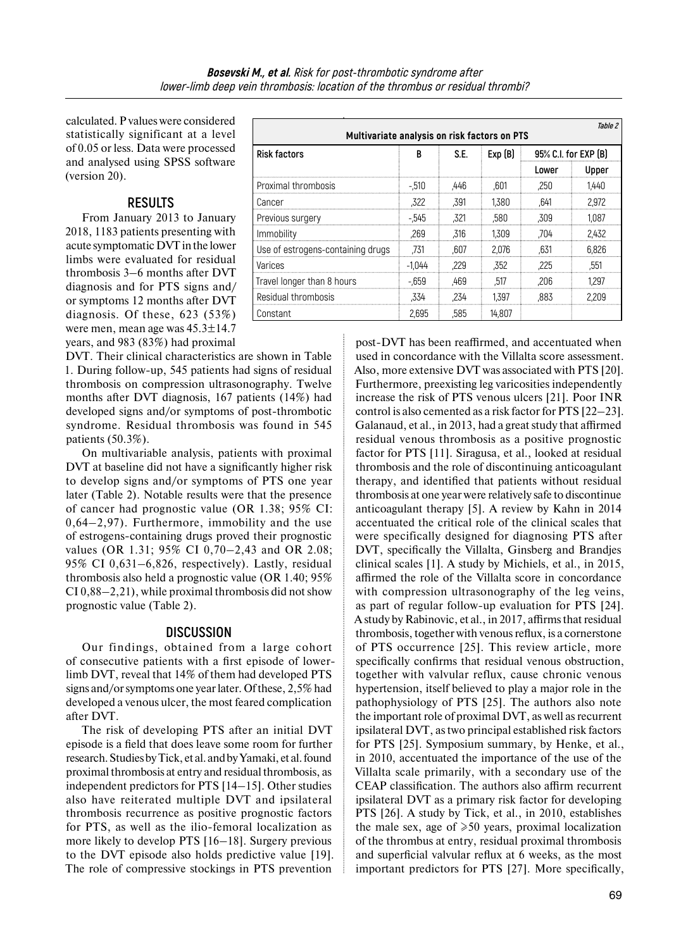calculated. P values were considered statistically significant at a level of 0.05 or less. Data were processed and analysed using SPSS software (version 20).

# **RESULTS**

From January 2013 to January 2018, 1183 patients presenting with acute symptomatic DVT inthe lower limbs were evaluated for residual thrombosis 3–6 months after DVT diagnosis and for PTS signs and/ or symptoms 12 months after DVT diagnosis. Of these, 623 (53%) were men, mean age was 45.3±14.7 years, and 983 (83%) had proximal

DVT. Their clinical characteristics are shown in Table 1. During follow-up, 545 patients had signs of residual thrombosis on compression ultrasonography. Twelve months after DVT diagnosis, 167 patients (14%) had developed signs and/or symptoms of post-thrombotic syndrome. Residual thrombosis was found in 545 patients (50.3%).

On multivariable analysis, patients with proximal DVT at baseline did not have a significantly higher risk to develop signs and/or symptoms of PTS one year later (Table 2). Notable results were that the presence of cancer had prognostic value (OR 1.38; 95% CI: 0,64–2,97). Furthermore, immobility and the use of estrogens-containing drugs proved their prognostic values (OR 1.31; 95% CI 0,70–2,43 and OR 2.08; 95% CI 0,631–6,826, respectively). Lastly, residual thrombosis also held a prognostic value (OR 1.40; 95% CI 0,88–2,21), while proximal thrombosis did not show prognostic value (Table 2).

# **DISCUSSION**

Our findings, obtained from a large cohort of consecutive patients with a first episode of lowerlimb DVT, reveal that 14% of them had developed PTS signs and/or symptoms one year later. Of these, 2,5% had developed a venous ulcer, the most feared complication after DVT.

The risk of developing PTS after an initial DVT episode is a field that does leave some room for further research. Studies by Tick, et al. and by Yamaki, et al. found proximal thrombosis at entry and residual thrombosis, as independent predictors for PTS [14–15]. Other studies also have reiterated multiple DVT and ipsilateral thrombosis recurrence as positive prognostic factors for PTS, as well as the ilio-femoral localization as more likely to develop PTS [16–18]. Surgery previous to the DVT episode also holds predictive value [19]. The role of compressive stockings in PTS prevention

| Table 2<br>Multivariate analysis on risk factors on PTS |          |      |        |                      |       |  |  |
|---------------------------------------------------------|----------|------|--------|----------------------|-------|--|--|
| <b>Risk factors</b>                                     | В        | S.E. | Exp(B) | 95% C.I. for EXP (B) |       |  |  |
|                                                         |          |      |        | Lower                | Upper |  |  |
| Proximal thrombosis                                     | $-.510$  | .446 | .601   | .250                 | 1.440 |  |  |
| Cancer                                                  | .322     | .391 | 1.380  | .641                 | 2.972 |  |  |
| Previous surgery                                        | $-545$   | .321 | .580   | .309                 | 1.087 |  |  |
| Immobility                                              | .269     | .316 | 1.309  | .704                 | 2.432 |  |  |
| Use of estrogens-containing drugs                       | .731     | .607 | 2.076  | .631                 | 6.826 |  |  |
| Varices                                                 | $-1.044$ | .229 | .352   | .225                 | .551  |  |  |
| Travel longer than 8 hours                              | $-.659$  | .469 | .517   | .206                 | 1.297 |  |  |
| Residual thrombosis                                     | .334     | .234 | 1.397  | .883                 | 2.209 |  |  |
| Constant                                                | 2.695    | .585 | 14.807 |                      |       |  |  |

post-DVT has been reaffirmed, and accentuated when used in concordance with the Villalta score assessment. Also, more extensive DVT was associated with PTS [20]. Furthermore, preexisting leg varicosities independently increase the risk of PTS venous ulcers [21]. Poor INR control is also cemented as a risk factor for PTS [22–23]. Galanaud, et al., in 2013, had a great study that affirmed residual venous thrombosis as a positive prognostic factor for PTS [11]. Siragusa, et al., looked at residual thrombosis and the role of discontinuing anticoagulant therapy, and identified that patients without residual thrombosis at one year were relatively safe to discontinue anticoagulant therapy [5]. A review by Kahn in 2014 accentuated the critical role of the clinical scales that were specifically designed for diagnosing PTS after DVT, specifically the Villalta, Ginsberg and Brandjes clinical scales [1]. A study by Michiels, et al., in 2015, affirmed the role of the Villalta score in concordance with compression ultrasonography of the leg veins, as part of regular follow-up evaluation for PTS [24]. A study by Rabinovic, et al., in 2017, affirms that residual thrombosis, together with venous reflux, is a cornerstone of PTS occurrence [25]. This review article, more specifically confirms that residual venous obstruction, together with valvular reflux, cause chronic venous hypertension, itself believed to play a major role in the pathophysiology of PTS [25]. The authors also note the important role of proximal DVT, as well as recurrent ipsilateral DVT, as two principal established risk factors for PTS [25]. Symposium summary, by Henke, et al., in 2010, accentuated the importance of the use of the Villalta scale primarily, with a secondary use of the CEAP classification. The authors also affirm recurrent ipsilateral DVT as a primary risk factor for developing PTS [26]. A study by Tick, et al., in 2010, establishes the male sex, age of  $\ge 50$  years, proximal localization of the thrombus at entry, residual proximal thrombosis and superficial valvular reflux at 6 weeks, as the most important predictors for PTS [27]. More specifically,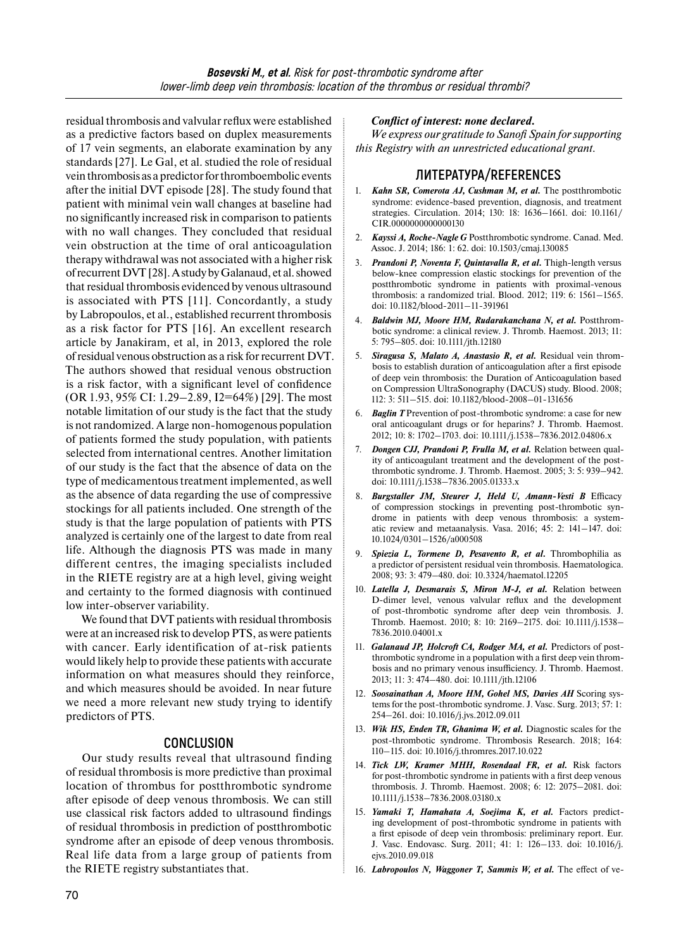residual thrombosis and valvular reflux were established as a predictive factors based on duplex measurements of 17 vein segments, an elaborate examination by any standards [27]. Le Gal, et al. studied the role of residual vein thrombosis as a predictor forthromboembolic events after the initial DVT episode [28]. The study found that patient with minimal vein wall changes at baseline had no significantly increased risk in comparison to patients with no wall changes. They concluded that residual vein obstruction at the time of oral anticoagulation therapy withdrawal was not associated with a higher risk ofrecurrent DVT [28]. Astudy byGalanaud, et al. showed that residual thrombosis evidenced by venous ultrasound is associated with PTS [11]. Concordantly, a study by Labropoulos, et al., established recurrent thrombosis as a risk factor for PTS [16]. An excellent research article by Janakiram, et al, in 2013, explored the role ofresidual venous obstruction as a risk forrecurrent DVT. The authors showed that residual venous obstruction is a risk factor, with a significant level of confidence (OR 1.93, 95% CI: 1.29–2.89, I2=64%) [29]. The most notable limitation of our study is the fact that the study is not randomized. A large non-homogenous population of patients formed the study population, with patients selected from international centres. Another limitation of our study is the fact that the absence of data on the type of medicamentous treatment implemented, as well as the absence of data regarding the use of compressive stockings for all patients included. One strength of the study is that the large population of patients with PTS analyzed is certainly one of the largest to date from real life. Although the diagnosis PTS was made in many different centres, the imaging specialists included in the RIETE registry are at a high level, giving weight and certainty to the formed diagnosis with continued low inter-observer variability.

We found that DVT patients with residual thrombosis were at an increased risk to develop PTS, as were patients with cancer. Early identification of at-risk patients would likely help to provide these patients with accurate information on what measures should they reinforce, and which measures should be avoided. In near future we need a more relevant new study trying to identify predictors of PTS.

# **CONCLUSION**

Our study results reveal that ultrasound finding of residual thrombosis is more predictive than proximal location of thrombus for postthrombotic syndrome after episode of deep venous thrombosis. We can still use classical risk factors added to ultrasound findings of residual thrombosis in prediction of postthrombotic syndrome after an episode of deep venous thrombosis. Real life data from a large group of patients from the RIETE registry substantiates that.

### *Conflict of interest: none declared.*

*We express our gratitude to Sanofi Spain for supporting this Registry with an unrestricted educational grant.*

# **ЛИТЕРАТУРА/REFERENCES**

- 1. *Kahn SR, Comerota AJ, Cushman M, et al.* The postthrombotic syndrome: evidence-based prevention, diagnosis, and treatment strategies. Circulation. 2014; 130: 18: 1636–1661. doi: 10.1161/ CIR.0000000000000130
- 2. *Kayssi A, Roche-Nagle G* Postthrombotic syndrome. Canad. Med. Assoc. J. 2014; 186: 1: 62. doi: 10.1503/cmaj.130085
- 3. *Prandoni P, Noventa F, Quintavalla R, et al.* Thigh-length versus below-knee compression elastic stockings for prevention of the postthrombotic syndrome in patients with proximal-venous thrombosis: a randomized trial. Blood. 2012; 119: 6: 1561–1565. doi: 10.1182/blood-2011–11-391961
- 4. *Baldwin MJ, Moore HM, Rudarakanchana N, et al.* Postthrombotic syndrome: a clinical review. J. Thromb. Haemost. 2013; 11: 5: 795–805. doi: 10.1111/jth.12180
- 5. *Siragusa S, Malato A, Anastasio R, et al.* Residual vein thrombosis to establish duration of anticoagulation after a first episode of deep vein thrombosis: the Duration of Anticoagulation based on Compression UltraSonography (DACUS) study. Blood. 2008; 112: 3: 511–515. doi: 10.1182/blood-2008–01-131656
- 6. *Baglin T* Prevention of post-thrombotic syndrome: a case for new oral anticoagulant drugs or for heparins? J. Thromb. Haemost. 2012; 10: 8: 1702–1703. doi: 10.1111/j.1538–7836.2012.04806.x
- 7. *Dongen CJJ, Prandoni P, Frulla M, et al.* Relation between quality of anticoagulant treatment and the development of the postthrombotic syndrome. J. Thromb. Haemost. 2005; 3: 5: 939–942. doi: 10.1111/j.1538–7836.2005.01333.x
- 8. *Burgstaller JM, Steurer J, Held U, Amann-Vesti B* Efficacy of compression stockings in preventing post-thrombotic syndrome in patients with deep venous thrombosis: a systematic review and metaanalysis. Vasa. 2016; 45: 2: 141–147. doi: 10.1024/0301–1526/a000508
- 9. *Spiezia L, Tormene D, Pesavento R, et al.* Thrombophilia as a predictor of persistent residual vein thrombosis. Haematologica. 2008; 93: 3: 479–480. doi: 10.3324/haematol.12205
- 10. *Latella J, Desmarais S, Miron M-J, et al.* Relation between D-dimer level, venous valvular reflux and the development of post-thrombotic syndrome after deep vein thrombosis. J. Thromb. Haemost. 2010; 8: 10: 2169–2175. doi: 10.1111/j.1538– 7836.2010.04001.x
- 11. *Galanaud JP, Holcroft CA, Rodger MA, et al.* Predictors of postthrombotic syndrome in a population with a first deep vein thrombosis and no primary venous insufficiency. J. Thromb. Haemost. 2013; 11: 3: 474–480. doi: 10.1111/jth.12106
- 12. *Soosainathan A, Moore HM, Gohel MS, Davies AH* Scoring systems for the post-thrombotic syndrome. J. Vasc. Surg. 2013; 57: 1: 254–261. doi: 10.1016/j.jvs.2012.09.011
- 13. *Wik HS, Enden TR, Ghanima W, et al.* Diagnostic scales for the post-thrombotic syndrome. Thrombosis Research. 2018; 164: 110–115. doi: 10.1016/j.thromres.2017.10.022
- 14. *Tick LW, Kramer MHH, Rosendaal FR, et al.* Risk factors for post-thrombotic syndrome in patients with a first deep venous thrombosis. J. Thromb. Haemost. 2008; 6: 12: 2075–2081. doi: 10.1111/j.1538–7836.2008.03180.x
- 15. *Yamaki T, Hamahata A, Soejima K, et al.* Factors predicting development of post-thrombotic syndrome in patients with a first episode of deep vein thrombosis: preliminary report. Eur. J. Vasc. Endovasc. Surg. 2011; 41: 1: 126–133. doi: 10.1016/j. ejvs.2010.09.018
- 16. *Labropoulos N, Waggoner T, Sammis W, et al.* The effect of ve-